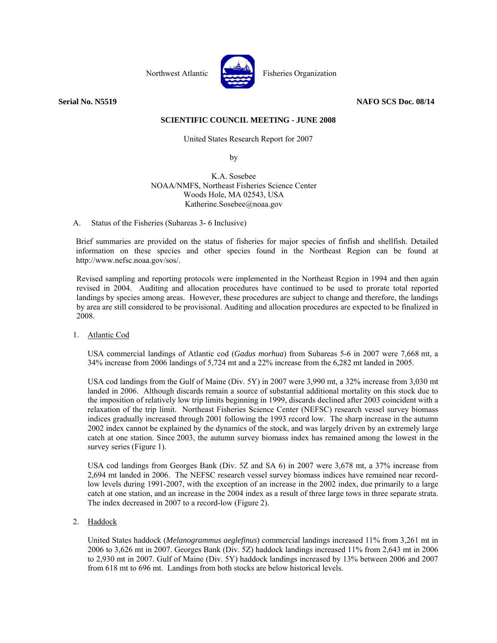

Northwest Atlantic Fisheries Organization

**Serial No. N5519 NAFO SCS Doc. 08/14** 

# **SCIENTIFIC COUNCIL MEETING - JUNE 2008**

United States Research Report for 2007

by by the state of  $\mathbf{b}$ 

 K.A. Sosebee NOAA/NMFS, Northeast Fisheries Science Center Woods Hole, MA 02543, USA Katherine.Sosebee@noaa.gov

# A. Status of the Fisheries (Subareas 3- 6 Inclusive)

Brief summaries are provided on the status of fisheries for major species of finfish and shellfish. Detailed information on these species and other species found in the Northeast Region can be found at http://www.nefsc.noaa.gov/sos/.

Revised sampling and reporting protocols were implemented in the Northeast Region in 1994 and then again revised in 2004. Auditing and allocation procedures have continued to be used to prorate total reported landings by species among areas. However, these procedures are subject to change and therefore, the landings by area are still considered to be provisional. Auditing and allocation procedures are expected to be finalized in 2008.

1. Atlantic Cod

USA commercial landings of Atlantic cod (*Gadus morhua*) from Subareas 5-6 in 2007 were 7,668 mt, a 34% increase from 2006 landings of 5,724 mt and a 22% increase from the 6,282 mt landed in 2005.

USA cod landings from the Gulf of Maine (Div. 5Y) in 2007 were 3,990 mt, a 32% increase from 3,030 mt landed in 2006. Although discards remain a source of substantial additional mortality on this stock due to the imposition of relatively low trip limits beginning in 1999, discards declined after 2003 coincident with a relaxation of the trip limit. Northeast Fisheries Science Center (NEFSC) research vessel survey biomass indices gradually increased through 2001 following the 1993 record low. The sharp increase in the autumn 2002 index cannot be explained by the dynamics of the stock, and was largely driven by an extremely large catch at one station. Since 2003, the autumn survey biomass index has remained among the lowest in the survey series (Figure 1).

USA cod landings from Georges Bank (Div. 5Z and SA 6) in 2007 were 3,678 mt, a 37% increase from 2,694 mt landed in 2006. The NEFSC research vessel survey biomass indices have remained near recordlow levels during 1991-2007, with the exception of an increase in the 2002 index, due primarily to a large catch at one station, and an increase in the 2004 index as a result of three large tows in three separate strata. The index decreased in 2007 to a record-low (Figure 2).

2. Haddock

 United States haddock (*Melanogrammus aeglefinus*) commercial landings increased 11% from 3,261 mt in 2006 to 3,626 mt in 2007. Georges Bank (Div. 5Z) haddock landings increased 11% from 2,643 mt in 2006 to 2,930 mt in 2007. Gulf of Maine (Div. 5Y) haddock landings increased by 13% between 2006 and 2007 from 618 mt to 696 mt. Landings from both stocks are below historical levels.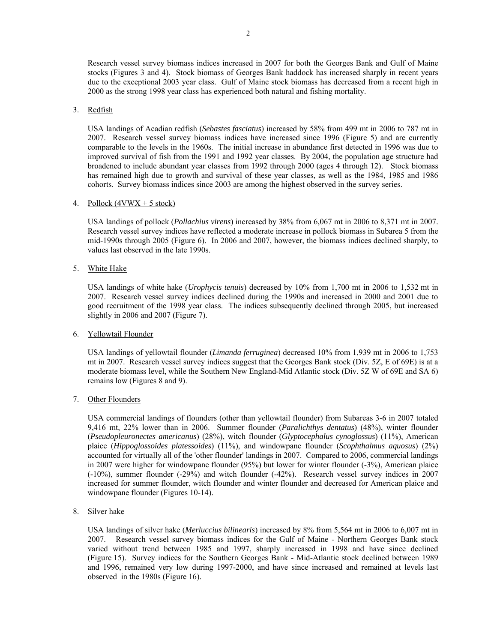Research vessel survey biomass indices increased in 2007 for both the Georges Bank and Gulf of Maine stocks (Figures 3 and 4). Stock biomass of Georges Bank haddock has increased sharply in recent years due to the exceptional 2003 year class. Gulf of Maine stock biomass has decreased from a recent high in 2000 as the strong 1998 year class has experienced both natural and fishing mortality.

## 3. Redfish

USA landings of Acadian redfish (*Sebastes fasciatus*) increased by 58% from 499 mt in 2006 to 787 mt in 2007. Research vessel survey biomass indices have increased since 1996 (Figure 5) and are currently comparable to the levels in the 1960s. The initial increase in abundance first detected in 1996 was due to improved survival of fish from the 1991 and 1992 year classes. By 2004, the population age structure had broadened to include abundant year classes from 1992 through 2000 (ages 4 through 12). Stock biomass has remained high due to growth and survival of these year classes, as well as the 1984, 1985 and 1986 cohorts. Survey biomass indices since 2003 are among the highest observed in the survey series.

## 4. Pollock  $(4VWX + 5 \text{ stock})$

USA landings of pollock (*Pollachius virens*) increased by 38% from 6,067 mt in 2006 to 8,371 mt in 2007. Research vessel survey indices have reflected a moderate increase in pollock biomass in Subarea 5 from the mid-1990s through 2005 (Figure 6). In 2006 and 2007, however, the biomass indices declined sharply, to values last observed in the late 1990s.

5. White Hake

USA landings of white hake (*Urophycis tenuis*) decreased by 10% from 1,700 mt in 2006 to 1,532 mt in 2007. Research vessel survey indices declined during the 1990s and increased in 2000 and 2001 due to good recruitment of the 1998 year class. The indices subsequently declined through 2005, but increased slightly in 2006 and 2007 (Figure 7).

## 6. Yellowtail Flounder

USA landings of yellowtail flounder (*Limanda ferruginea*) decreased 10% from 1,939 mt in 2006 to 1,753 mt in 2007. Research vessel survey indices suggest that the Georges Bank stock (Div. 5Z, E of 69E) is at a moderate biomass level, while the Southern New England-Mid Atlantic stock (Div. 5Z W of 69E and SA 6) remains low (Figures 8 and 9).

# 7. Other Flounders

USA commercial landings of flounders (other than yellowtail flounder) from Subareas 3-6 in 2007 totaled 9,416 mt, 22% lower than in 2006. Summer flounder (*Paralichthys dentatus*) (48%), winter flounder (*Pseudopleuronectes americanus*) (28%), witch flounder (*Glyptocephalus cynoglossus*) (11%), American plaice (*Hippoglossoides platessoides*) (11%), and windowpane flounder (*Scophthalmus aquosus*) (2%) accounted for virtually all of the 'other flounder' landings in 2007. Compared to 2006, commercial landings in 2007 were higher for windowpane flounder (95%) but lower for winter flounder (-3%), American plaice (-10%), summer flounder (-29%) and witch flounder (-42%). Research vessel survey indices in 2007 increased for summer flounder, witch flounder and winter flounder and decreased for American plaice and windowpane flounder (Figures 10-14).

8. Silver hake

USA landings of silver hake (*Merluccius bilinearis*) increased by 8% from 5,564 mt in 2006 to 6,007 mt in 2007. Research vessel survey biomass indices for the Gulf of Maine - Northern Georges Bank stock varied without trend between 1985 and 1997, sharply increased in 1998 and have since declined (Figure 15). Survey indices for the Southern Georges Bank - Mid-Atlantic stock declined between 1989 and 1996, remained very low during 1997-2000, and have since increased and remained at levels last observed in the 1980s (Figure 16).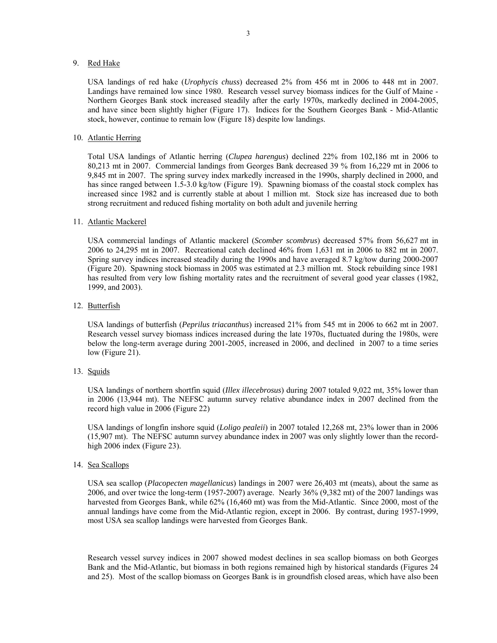## 9. Red Hake

USA landings of red hake (*Urophycis chuss*) decreased 2% from 456 mt in 2006 to 448 mt in 2007. Landings have remained low since 1980. Research vessel survey biomass indices for the Gulf of Maine - Northern Georges Bank stock increased steadily after the early 1970s, markedly declined in 2004-2005, and have since been slightly higher (Figure 17). Indices for the Southern Georges Bank - Mid-Atlantic stock, however, continue to remain low (Figure 18) despite low landings.

## 10. Atlantic Herring

Total USA landings of Atlantic herring (*Clupea harengus*) declined 22% from 102,186 mt in 2006 to 80,213 mt in 2007. Commercial landings from Georges Bank decreased 39 % from 16,229 mt in 2006 to 9,845 mt in 2007. The spring survey index markedly increased in the 1990s, sharply declined in 2000, and has since ranged between 1.5-3.0 kg/tow (Figure 19). Spawning biomass of the coastal stock complex has increased since 1982 and is currently stable at about 1 million mt. Stock size has increased due to both strong recruitment and reduced fishing mortality on both adult and juvenile herring

#### 11. Atlantic Mackerel

USA commercial landings of Atlantic mackerel (*Scomber scombrus*) decreased 57% from 56,627 mt in 2006 to 24,295 mt in 2007. Recreational catch declined 46% from 1,631 mt in 2006 to 882 mt in 2007. Spring survey indices increased steadily during the 1990s and have averaged 8.7 kg/tow during 2000-2007 (Figure 20). Spawning stock biomass in 2005 was estimated at 2.3 million mt. Stock rebuilding since 1981 has resulted from very low fishing mortality rates and the recruitment of several good year classes (1982, 1999, and 2003).

## 12. Butterfish

USA landings of butterfish (*Peprilus triacanthus*) increased 21% from 545 mt in 2006 to 662 mt in 2007. Research vessel survey biomass indices increased during the late 1970s, fluctuated during the 1980s, were below the long-term average during 2001-2005, increased in 2006, and declined in 2007 to a time series low (Figure 21).

## 13. Squids

USA landings of northern shortfin squid (*Illex illecebrosus*) during 2007 totaled 9,022 mt, 35% lower than in 2006 (13,944 mt). The NEFSC autumn survey relative abundance index in 2007 declined from the record high value in 2006 (Figure 22)

USA landings of longfin inshore squid (*Loligo pealeii*) in 2007 totaled 12,268 mt, 23% lower than in 2006 (15,907 mt). The NEFSC autumn survey abundance index in 2007 was only slightly lower than the recordhigh 2006 index (Figure 23).

## 14. Sea Scallops

USA sea scallop (*Placopecten magellanicus*) landings in 2007 were 26,403 mt (meats), about the same as 2006, and over twice the long-term (1957-2007) average. Nearly 36% (9,382 mt) of the 2007 landings was harvested from Georges Bank, while 62% (16,460 mt) was from the Mid-Atlantic. Since 2000, most of the annual landings have come from the Mid-Atlantic region, except in 2006. By contrast, during 1957-1999, most USA sea scallop landings were harvested from Georges Bank.

Research vessel survey indices in 2007 showed modest declines in sea scallop biomass on both Georges Bank and the Mid-Atlantic, but biomass in both regions remained high by historical standards (Figures 24 and 25). Most of the scallop biomass on Georges Bank is in groundfish closed areas, which have also been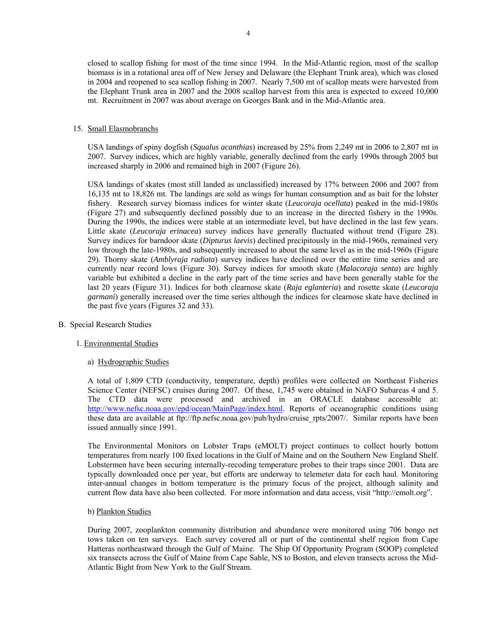closed to scallop fishing for most of the time since 1994. In the Mid-Atlantic region, most of the scallop biomass is in a rotational area off of New Jersey and Delaware (the Elephant Trunk area), which was closed in 2004 and reopened to sea scallop fishing in 2007. Nearly 7,500 mt of scallop meats were harvested from the Elephant Trunk area in 2007 and the 2008 scallop harvest from this area is expected to exceed 10,000 mt. Recruitment in 2007 was about average on Georges Bank and in the Mid-Atlantic area.

## 15. Small Elasmobranchs

USA landings of spiny dogfish (*Squalus acanthias*) increased by 25% from 2,249 mt in 2006 to 2,807 mt in 2007. Survey indices, which are highly variable, generally declined from the early 1990s through 2005 but increased sharply in 2006 and remained high in 2007 (Figure 26).

USA landings of skates (most still landed as unclassified) increased by 17% between 2006 and 2007 from 16,135 mt to 18,826 mt. The landings are sold as wings for human consumption and as bait for the lobster fishery. Research survey biomass indices for winter skate (*Leucoraja ocellata*) peaked in the mid-1980s (Figure 27) and subsequently declined possibly due to an increase in the directed fishery in the 1990s. During the 1990s, the indices were stable at an intermediate level, but have declined in the last few years. Little skate (*Leucoraja erinacea*) survey indices have generally fluctuated without trend (Figure 28). Survey indices for barndoor skate (*Dipturus laevis*) declined precipitously in the mid-1960s, remained very low through the late-1980s, and subsequently increased to about the same level as in the mid-1960s (Figure 29). Thorny skate (*Amblyraja radiata*) survey indices have declined over the entire time series and are currently near record lows (Figure 30). Survey indices for smooth skate (*Malacoraja senta*) are highly variable but exhibited a decline in the early part of the time series and have been generally stable for the last 20 years (Figure 31). Indices for both clearnose skate (*Raja eglanteria*) and rosette skate (*Leucoraja garmani*) generally increased over the time series although the indices for clearnose skate have declined in the past five years (Figures 32 and 33).

## B. Special Research Studies

# 1. Environmental Studies

# a) Hydrographic Studies

A total of 1,809 CTD (conductivity, temperature, depth) profiles were collected on Northeast Fisheries Science Center (NEFSC) cruises during 2007. Of these, 1,745 were obtained in NAFO Subareas 4 and 5. The CTD data were processed and archived in an ORACLE database accessible at: http://www.nefsc.noaa.gov/epd/ocean/MainPage/index.html. Reports of oceanographic conditions using these data are available at ftp://ftp.nefsc.noaa.gov/pub/hydro/cruise\_rpts/2007/. Similar reports have been issued annually since 1991.

The Environmental Monitors on Lobster Traps (eMOLT) project continues to collect hourly bottom temperatures from nearly 100 fixed locations in the Gulf of Maine and on the Southern New England Shelf. Lobstermen have been securing internally-recoding temperature probes to their traps since 2001. Data are typically downloaded once per year, but efforts are underway to telemeter data for each haul. Monitoring inter-annual changes in bottom temperature is the primary focus of the project, although salinity and current flow data have also been collected. For more information and data access, visit "http://emolt.org".

## b) Plankton Studies

During 2007, zooplankton community distribution and abundance were monitored using 706 bongo net tows taken on ten surveys. Each survey covered all or part of the continental shelf region from Cape Hatteras northeastward through the Gulf of Maine. The Ship Of Opportunity Program (SOOP) completed six transects across the Gulf of Maine from Cape Sable, NS to Boston, and eleven transects across the Mid-Atlantic Bight from New York to the Gulf Stream.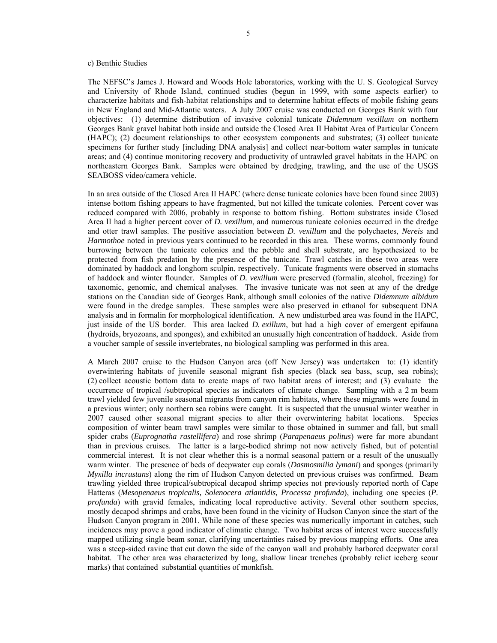## c) Benthic Studies

The NEFSC's James J. Howard and Woods Hole laboratories, working with the U. S. Geological Survey and University of Rhode Island, continued studies (begun in 1999, with some aspects earlier) to characterize habitats and fish-habitat relationships and to determine habitat effects of mobile fishing gears in New England and Mid-Atlantic waters. A July 2007 cruise was conducted on Georges Bank with four objectives: (1) determine distribution of invasive colonial tunicate *Didemnum vexillum* on northern Georges Bank gravel habitat both inside and outside the Closed Area II Habitat Area of Particular Concern (HAPC); (2) document relationships to other ecosystem components and substrates; (3) collect tunicate specimens for further study [including DNA analysis] and collect near-bottom water samples in tunicate areas; and (4) continue monitoring recovery and productivity of untrawled gravel habitats in the HAPC on northeastern Georges Bank. Samples were obtained by dredging, trawling, and the use of the USGS SEABOSS video/camera vehicle.

In an area outside of the Closed Area II HAPC (where dense tunicate colonies have been found since 2003) intense bottom fishing appears to have fragmented, but not killed the tunicate colonies. Percent cover was reduced compared with 2006, probably in response to bottom fishing. Bottom substrates inside Closed Area II had a higher percent cover of *D. vexillum*, and numerous tunicate colonies occurred in the dredge and otter trawl samples. The positive association between *D. vexillum* and the polychaetes, *Nereis* and *Harmothoe* noted in previous years continued to be recorded in this area. These worms, commonly found burrowing between the tunicate colonies and the pebble and shell substrate, are hypothesized to be protected from fish predation by the presence of the tunicate. Trawl catches in these two areas were dominated by haddock and longhorn sculpin, respectively. Tunicate fragments were observed in stomachs of haddock and winter flounder. Samples of *D. vexillum* were preserved (formalin, alcohol, freezing) for taxonomic, genomic, and chemical analyses. The invasive tunicate was not seen at any of the dredge stations on the Canadian side of Georges Bank, although small colonies of the native *Didemnum albidum* were found in the dredge samples. These samples were also preserved in ethanol for subsequent DNA analysis and in formalin for morphological identification. A new undisturbed area was found in the HAPC, just inside of the US border. This area lacked *D. exillum*, but had a high cover of emergent epifauna (hydroids, bryozoans, and sponges), and exhibited an unusually high concentration of haddock. Aside from a voucher sample of sessile invertebrates, no biological sampling was performed in this area.

A March 2007 cruise to the Hudson Canyon area (off New Jersey) was undertaken to: (1) identify overwintering habitats of juvenile seasonal migrant fish species (black sea bass, scup, sea robins); (2) collect acoustic bottom data to create maps of two habitat areas of interest; and (3) evaluate the occurrence of tropical /subtropical species as indicators of climate change. Sampling with a 2 m beam trawl yielded few juvenile seasonal migrants from canyon rim habitats, where these migrants were found in a previous winter; only northern sea robins were caught. It is suspected that the unusual winter weather in 2007 caused other seasonal migrant species to alter their overwintering habitat locations. Species composition of winter beam trawl samples were similar to those obtained in summer and fall, but small spider crabs (*Euprognatha rastellifera*) and rose shrimp (*Parapenaeus politus*) were far more abundant than in previous cruises. The latter is a large-bodied shrimp not now actively fished, but of potential commercial interest. It is not clear whether this is a normal seasonal pattern or a result of the unusually warm winter. The presence of beds of deepwater cup corals (*Dasmosmilia lymani*) and sponges (primarily *Myxilla incrustans*) along the rim of Hudson Canyon detected on previous cruises was confirmed. Beam trawling yielded three tropical/subtropical decapod shrimp species not previously reported north of Cape Hatteras (*Mesopenaeus tropicalis, Solenocera atlantidis, Processa profunda*), including one species (*P. profunda*) with gravid females, indicating local reproductive activity. Several other southern species, mostly decapod shrimps and crabs, have been found in the vicinity of Hudson Canyon since the start of the Hudson Canyon program in 2001. While none of these species was numerically important in catches, such incidences may prove a good indicator of climatic change. Two habitat areas of interest were successfully mapped utilizing single beam sonar, clarifying uncertainties raised by previous mapping efforts. One area was a steep-sided ravine that cut down the side of the canyon wall and probably harbored deepwater coral habitat. The other area was characterized by long, shallow linear trenches (probably relict iceberg scour marks) that contained substantial quantities of monkfish.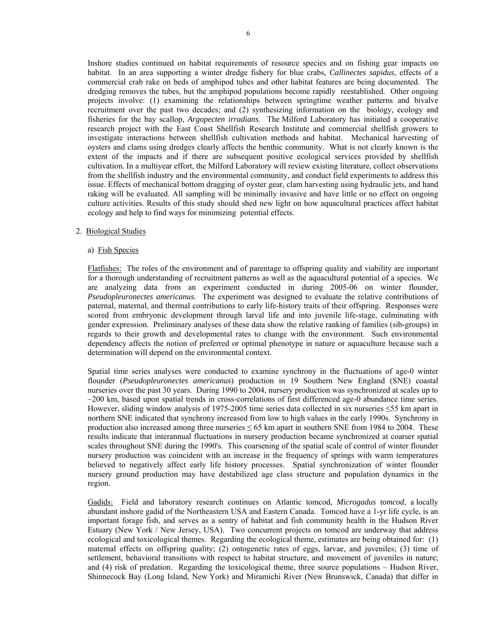Inshore studies continued on habitat requirements of resource species and on fishing gear impacts on habitat. In an area supporting a winter dredge fishery for blue crabs, *Callinectes sapidus*, effects of a commercial crab rake on beds of amphipod tubes and other habitat features are being documented. The dredging removes the tubes, but the amphipod populations become rapidly reestablished. Other ongoing projects involve: (1) examining the relationships between springtime weather patterns and bivalve recruitment over the past two decades; and (2) synthesizing information on the biology, ecology and fisheries for the bay scallop, *Argopecten irradians*. The Milford Laboratory has initiated a cooperative research project with the East Coast Shellfish Research Institute and commercial shellfish growers to investigate interactions between shellfish cultivation methods and habitat. Mechanical harvesting of oysters and clams using dredges clearly affects the benthic community. What is not clearly known is the extent of the impacts and if there are subsequent positive ecological services provided by shellfish cultivation. In a multiyear effort, the Milford Laboratory will review existing literature, collect observations from the shellfish industry and the environmental community, and conduct field experiments to address this issue. Effects of mechanical bottom dragging of oyster gear, clam harvesting using hydraulic jets, and hand raking will be evaluated. All sampling will be minimally invasive and have little or no effect on ongoing culture activities. Results of this study should shed new light on how aquacultural practices affect habitat ecology and help to find ways for minimizing potential effects.

## 2. Biological Studies

#### a) Fish Species

Flatfishes: The roles of the environment and of parentage to offspring quality and viability are important for a thorough understanding of recruitment patterns as well as the aquacultural potential of a species. We are analyzing data from an experiment conducted in during 2005-06 on winter flounder, *Pseudopleuronectes americanus*. The experiment was designed to evaluate the relative contributions of paternal, maternal, and thermal contributions to early life-history traits of their offspring. Responses were scored from embryonic development through larval life and into juvenile life-stage, culminating with gender expression. Preliminary analyses of these data show the relative ranking of families (sib-groups) in regards to their growth and developmental rates to change with the environment. Such environmental dependency affects the notion of preferred or optimal phenotype in nature or aquaculture because such a determination will depend on the environmental context.

Spatial time series analyses were conducted to examine synchrony in the fluctuations of age-0 winter flounder (*Pseudopleuronectes americanus*) production in 19 Southern New England (SNE) coastal nurseries over the past 30 years. During 1990 to 2004, nursery production was synchronized at scales up to  $\sim$ 200 km, based upon spatial trends in cross-correlations of first differenced age-0 abundance time series. However, sliding window analysis of 1975-2005 time series data collected in six nurseries ≤55 km apart in northern SNE indicated that synchrony increased from low to high values in the early 1990s. Synchrony in production also increased among three nurseries  $\leq$  65 km apart in southern SNE from 1984 to 2004. These results indicate that interannual fluctuations in nursery production became synchronized at coarser spatial scales throughout SNE during the 1990's. This coarsening of the spatial scale of control of winter flounder nursery production was coincident with an increase in the frequency of springs with warm temperatures believed to negatively affect early life history processes. Spatial synchronization of winter flounder nursery ground production may have destabilized age class structure and population dynamics in the region.

Gadids: Field and laboratory research continues on Atlantic tomcod, *Microgadus tomcod*, a locally abundant inshore gadid of the Northeastern USA and Eastern Canada. Tomcod have a 1-yr life cycle, is an important forage fish, and serves as a sentry of habitat and fish community health in the Hudson River Estuary (New York / New Jersey, USA). Two concurrent projects on tomcod are underway that address ecological and toxicological themes. Regarding the ecological theme, estimates are being obtained for: (1) maternal effects on offspring quality; (2) ontogenetic rates of eggs, larvae, and juveniles; (3) time of settlement, behavioral transitions with respect to habitat structure, and movement of juveniles in nature; and (4) risk of predation. Regarding the toxicological theme, three source populations – Hudson River, Shinnecock Bay (Long Island, New York) and Miramichi River (New Brunswick, Canada) that differ in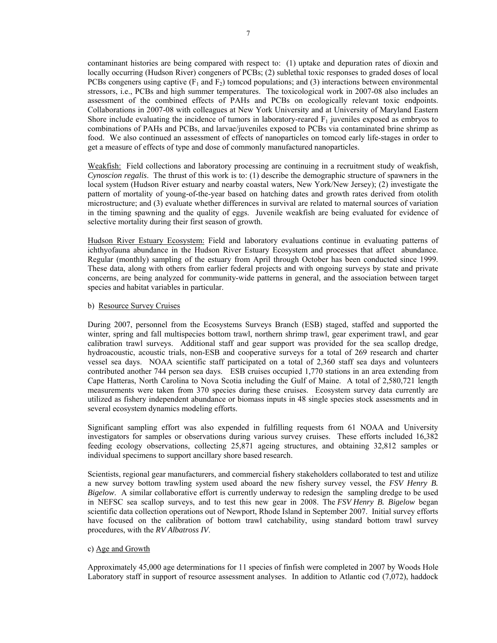contaminant histories are being compared with respect to: (1) uptake and depuration rates of dioxin and locally occurring (Hudson River) congeners of PCBs; (2) sublethal toxic responses to graded doses of local PCBs congeners using captive  $(F_1$  and  $F_2)$  tomcod populations; and (3) interactions between environmental stressors, i.e., PCBs and high summer temperatures. The toxicological work in 2007-08 also includes an assessment of the combined effects of PAHs and PCBs on ecologically relevant toxic endpoints. Collaborations in 2007-08 with colleagues at New York University and at University of Maryland Eastern Shore include evaluating the incidence of tumors in laboratory-reared  $F_1$  juveniles exposed as embryos to combinations of PAHs and PCBs, and larvae/juveniles exposed to PCBs via contaminated brine shrimp as food. We also continued an assessment of effects of nanoparticles on tomcod early life-stages in order to get a measure of effects of type and dose of commonly manufactured nanoparticles.

Weakfish: Field collections and laboratory processing are continuing in a recruitment study of weakfish, *Cynoscion regalis*. The thrust of this work is to: (1) describe the demographic structure of spawners in the local system (Hudson River estuary and nearby coastal waters, New York/New Jersey); (2) investigate the pattern of mortality of young-of-the-year based on hatching dates and growth rates derived from otolith microstructure; and (3) evaluate whether differences in survival are related to maternal sources of variation in the timing spawning and the quality of eggs. Juvenile weakfish are being evaluated for evidence of selective mortality during their first season of growth.

Hudson River Estuary Ecosystem: Field and laboratory evaluations continue in evaluating patterns of ichthyofauna abundance in the Hudson River Estuary Ecosystem and processes that affect abundance. Regular (monthly) sampling of the estuary from April through October has been conducted since 1999. These data, along with others from earlier federal projects and with ongoing surveys by state and private concerns, are being analyzed for community-wide patterns in general, and the association between target species and habitat variables in particular.

## b) Resource Survey Cruises

During 2007, personnel from the Ecosystems Surveys Branch (ESB) staged, staffed and supported the winter, spring and fall multispecies bottom trawl, northern shrimp trawl, gear experiment trawl, and gear calibration trawl surveys. Additional staff and gear support was provided for the sea scallop dredge, hydroacoustic, acoustic trials, non-ESB and cooperative surveys for a total of 269 research and charter vessel sea days. NOAA scientific staff participated on a total of 2,360 staff sea days and volunteers contributed another 744 person sea days. ESB cruises occupied 1,770 stations in an area extending from Cape Hatteras, North Carolina to Nova Scotia including the Gulf of Maine. A total of 2,580,721 length measurements were taken from 370 species during these cruises. Ecosystem survey data currently are utilized as fishery independent abundance or biomass inputs in 48 single species stock assessments and in several ecosystem dynamics modeling efforts.

Significant sampling effort was also expended in fulfilling requests from 61 NOAA and University investigators for samples or observations during various survey cruises. These efforts included 16,382 feeding ecology observations, collecting 25,871 ageing structures, and obtaining 32,812 samples or individual specimens to support ancillary shore based research.

Scientists, regional gear manufacturers, and commercial fishery stakeholders collaborated to test and utilize a new survey bottom trawling system used aboard the new fishery survey vessel, the *FSV Henry B. Bigelow*. A similar collaborative effort is currently underway to redesign the sampling dredge to be used in NEFSC sea scallop surveys, and to test this new gear in 2008. The *FSV Henry B. Bigelow* began scientific data collection operations out of Newport, Rhode Island in September 2007. Initial survey efforts have focused on the calibration of bottom trawl catchability, using standard bottom trawl survey procedures, with the *RV Albatross IV*.

## c) Age and Growth

Approximately 45,000 age determinations for 11 species of finfish were completed in 2007 by Woods Hole Laboratory staff in support of resource assessment analyses. In addition to Atlantic cod (7,072), haddock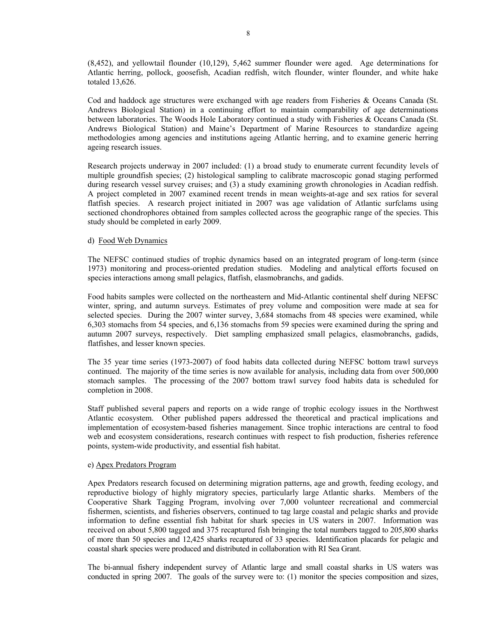(8,452), and yellowtail flounder (10,129), 5,462 summer flounder were aged. Age determinations for Atlantic herring, pollock, goosefish, Acadian redfish, witch flounder, winter flounder, and white hake totaled 13,626.

Cod and haddock age structures were exchanged with age readers from Fisheries & Oceans Canada (St. Andrews Biological Station) in a continuing effort to maintain comparability of age determinations between laboratories. The Woods Hole Laboratory continued a study with Fisheries & Oceans Canada (St. Andrews Biological Station) and Maine's Department of Marine Resources to standardize ageing methodologies among agencies and institutions ageing Atlantic herring, and to examine generic herring ageing research issues.

Research projects underway in 2007 included: (1) a broad study to enumerate current fecundity levels of multiple groundfish species; (2) histological sampling to calibrate macroscopic gonad staging performed during research vessel survey cruises; and (3) a study examining growth chronologies in Acadian redfish. A project completed in 2007 examined recent trends in mean weights-at-age and sex ratios for several flatfish species. A research project initiated in 2007 was age validation of Atlantic surfclams using sectioned chondrophores obtained from samples collected across the geographic range of the species. This study should be completed in early 2009.

## d) Food Web Dynamics

The NEFSC continued studies of trophic dynamics based on an integrated program of long-term (since 1973) monitoring and process-oriented predation studies. Modeling and analytical efforts focused on species interactions among small pelagics, flatfish, elasmobranchs, and gadids.

Food habits samples were collected on the northeastern and Mid-Atlantic continental shelf during NEFSC winter, spring, and autumn surveys. Estimates of prey volume and composition were made at sea for selected species. During the 2007 winter survey, 3,684 stomachs from 48 species were examined, while 6,303 stomachs from 54 species, and 6,136 stomachs from 59 species were examined during the spring and autumn 2007 surveys, respectively. Diet sampling emphasized small pelagics, elasmobranchs, gadids, flatfishes, and lesser known species.

The 35 year time series (1973-2007) of food habits data collected during NEFSC bottom trawl surveys continued. The majority of the time series is now available for analysis, including data from over 500,000 stomach samples. The processing of the 2007 bottom trawl survey food habits data is scheduled for completion in 2008.

Staff published several papers and reports on a wide range of trophic ecology issues in the Northwest Atlantic ecosystem. Other published papers addressed the theoretical and practical implications and implementation of ecosystem-based fisheries management. Since trophic interactions are central to food web and ecosystem considerations, research continues with respect to fish production, fisheries reference points, system-wide productivity, and essential fish habitat.

## e) Apex Predators Program

Apex Predators research focused on determining migration patterns, age and growth, feeding ecology, and reproductive biology of highly migratory species, particularly large Atlantic sharks. Members of the Cooperative Shark Tagging Program, involving over 7,000 volunteer recreational and commercial fishermen, scientists, and fisheries observers, continued to tag large coastal and pelagic sharks and provide information to define essential fish habitat for shark species in US waters in 2007. Information was received on about 5,800 tagged and 375 recaptured fish bringing the total numbers tagged to 205,800 sharks of more than 50 species and 12,425 sharks recaptured of 33 species. Identification placards for pelagic and coastal shark species were produced and distributed in collaboration with RI Sea Grant.

The bi-annual fishery independent survey of Atlantic large and small coastal sharks in US waters was conducted in spring 2007. The goals of the survey were to: (1) monitor the species composition and sizes,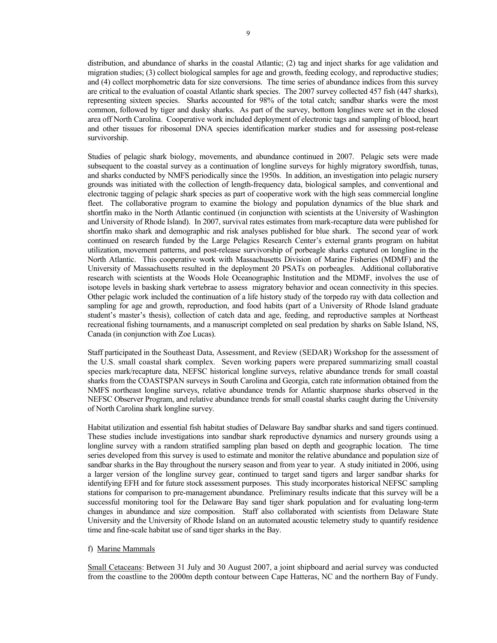distribution, and abundance of sharks in the coastal Atlantic; (2) tag and inject sharks for age validation and migration studies; (3) collect biological samples for age and growth, feeding ecology, and reproductive studies; and (4) collect morphometric data for size conversions. The time series of abundance indices from this survey are critical to the evaluation of coastal Atlantic shark species. The 2007 survey collected 457 fish (447 sharks), representing sixteen species. Sharks accounted for 98% of the total catch; sandbar sharks were the most common, followed by tiger and dusky sharks. As part of the survey, bottom longlines were set in the closed area off North Carolina. Cooperative work included deployment of electronic tags and sampling of blood, heart and other tissues for ribosomal DNA species identification marker studies and for assessing post-release survivorship.

Studies of pelagic shark biology, movements, and abundance continued in 2007. Pelagic sets were made subsequent to the coastal survey as a continuation of longline surveys for highly migratory swordfish, tunas, and sharks conducted by NMFS periodically since the 1950s. In addition, an investigation into pelagic nursery grounds was initiated with the collection of length-frequency data, biological samples, and conventional and electronic tagging of pelagic shark species as part of cooperative work with the high seas commercial longline fleet. The collaborative program to examine the biology and population dynamics of the blue shark and shortfin mako in the North Atlantic continued (in conjunction with scientists at the University of Washington and University of Rhode Island). In 2007, survival rates estimates from mark-recapture data were published for shortfin mako shark and demographic and risk analyses published for blue shark. The second year of work continued on research funded by the Large Pelagics Research Center's external grants program on habitat utilization, movement patterns, and post-release survivorship of porbeagle sharks captured on longline in the North Atlantic. This cooperative work with Massachusetts Division of Marine Fisheries (MDMF) and the University of Massachusetts resulted in the deployment 20 PSATs on porbeagles. Additional collaborative research with scientists at the Woods Hole Oceanographic Institution and the MDMF, involves the use of isotope levels in basking shark vertebrae to assess migratory behavior and ocean connectivity in this species. Other pelagic work included the continuation of a life history study of the torpedo ray with data collection and sampling for age and growth, reproduction, and food habits (part of a University of Rhode Island graduate student's master's thesis), collection of catch data and age, feeding, and reproductive samples at Northeast recreational fishing tournaments, and a manuscript completed on seal predation by sharks on Sable Island, NS, Canada (in conjunction with Zoe Lucas).

Staff participated in the Southeast Data, Assessment, and Review (SEDAR) Workshop for the assessment of the U.S. small coastal shark complex. Seven working papers were prepared summarizing small coastal species mark/recapture data, NEFSC historical longline surveys, relative abundance trends for small coastal sharks from the COASTSPAN surveys in South Carolina and Georgia, catch rate information obtained from the NMFS northeast longline surveys, relative abundance trends for Atlantic sharpnose sharks observed in the NEFSC Observer Program, and relative abundance trends for small coastal sharks caught during the University of North Carolina shark longline survey.

Habitat utilization and essential fish habitat studies of Delaware Bay sandbar sharks and sand tigers continued. These studies include investigations into sandbar shark reproductive dynamics and nursery grounds using a longline survey with a random stratified sampling plan based on depth and geographic location. The time series developed from this survey is used to estimate and monitor the relative abundance and population size of sandbar sharks in the Bay throughout the nursery season and from year to year. A study initiated in 2006, using a larger version of the longline survey gear, continued to target sand tigers and larger sandbar sharks for identifying EFH and for future stock assessment purposes. This study incorporates historical NEFSC sampling stations for comparison to pre-management abundance. Preliminary results indicate that this survey will be a successful monitoring tool for the Delaware Bay sand tiger shark population and for evaluating long-term changes in abundance and size composition. Staff also collaborated with scientists from Delaware State University and the University of Rhode Island on an automated acoustic telemetry study to quantify residence time and fine-scale habitat use of sand tiger sharks in the Bay.

## f) Marine Mammals

Small Cetaceans: Between 31 July and 30 August 2007, a joint shipboard and aerial survey was conducted from the coastline to the 2000m depth contour between Cape Hatteras, NC and the northern Bay of Fundy.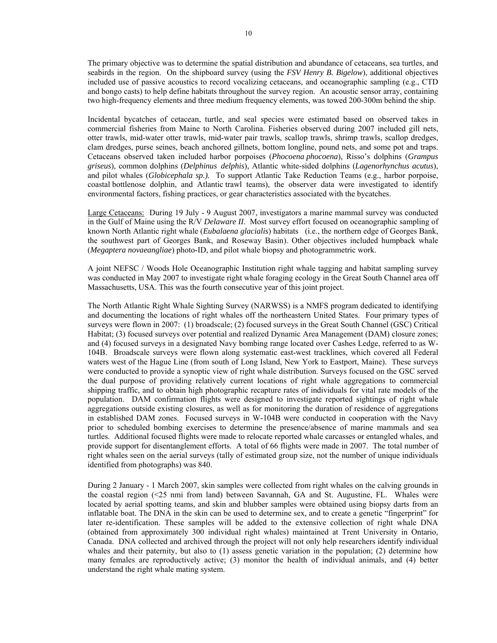The primary objective was to determine the spatial distribution and abundance of cetaceans, sea turtles, and seabirds in the region. On the shipboard survey (using the *FSV Henry B. Bigelow*), additional objectives included use of passive acoustics to record vocalizing cetaceans, and oceanographic sampling (e.g., CTD and bongo casts) to help define habitats throughout the survey region. An acoustic sensor array, containing two high-frequency elements and three medium frequency elements, was towed 200-300m behind the ship.

Incidental bycatches of cetacean, turtle, and seal species were estimated based on observed takes in commercial fisheries from Maine to North Carolina. Fisheries observed during 2007 included gill nets, otter trawls, mid-water otter trawls, mid-water pair trawls, scallop trawls, shrimp trawls, scallop dredges, clam dredges, purse seines, beach anchored gillnets, bottom longline, pound nets, and some pot and traps. Cetaceans observed taken included harbor porpoises (*Phocoena phocoena*), Risso's dolphins (*Grampus griseus*), common dolphins (*Delphinus delphis*), Atlantic white-sided dolphins (*Lagenorhynchus acutus*), and pilot whales (*Globicephala sp.).* To support Atlantic Take Reduction Teams (e.g., harbor porpoise, coastal bottlenose dolphin, and Atlantic trawl teams), the observer data were investigated to identify environmental factors, fishing practices, or gear characteristics associated with the bycatches.

Large Cetaceans: During 19 July - 9 August 2007, investigators a marine mammal survey was conducted in the Gulf of Maine using the R/V *Delaware II*. Most survey effort focused on oceanographic sampling of known North Atlantic right whale (*Eubalaena glacialis*) habitats (i.e., the northern edge of Georges Bank, the southwest part of Georges Bank, and Roseway Basin). Other objectives included humpback whale (*Megaptera novaeangliae*) photo-ID, and pilot whale biopsy and photogrammetric work.

A joint NEFSC / Woods Hole Oceanographic Institution right whale tagging and habitat sampling survey was conducted in May 2007 to investigate right whale foraging ecology in the Great South Channel area off Massachusetts, USA. This was the fourth consecutive year of this joint project.

The North Atlantic Right Whale Sighting Survey (NARWSS) is a NMFS program dedicated to identifying and documenting the locations of right whales off the northeastern United States. Four primary types of surveys were flown in 2007: (1) broadscale; (2) focused surveys in the Great South Channel (GSC) Critical Habitat; (3) focused surveys over potential and realized Dynamic Area Management (DAM) closure zones; and (4) focused surveys in a designated Navy bombing range located over Cashes Ledge, referred to as W-104B. Broadscale surveys were flown along systematic east-west tracklines, which covered all Federal waters west of the Hague Line (from south of Long Island, New York to Eastport, Maine). These surveys were conducted to provide a synoptic view of right whale distribution. Surveys focused on the GSC served the dual purpose of providing relatively current locations of right whale aggregations to commercial shipping traffic, and to obtain high photographic recapture rates of individuals for vital rate models of the population. DAM confirmation flights were designed to investigate reported sightings of right whale aggregations outside existing closures, as well as for monitoring the duration of residence of aggregations in established DAM zones. Focused surveys in W-104B were conducted in cooperation with the Navy prior to scheduled bombing exercises to determine the presence/absence of marine mammals and sea turtles. Additional focused flights were made to relocate reported whale carcasses or entangled whales, and provide support for disentanglement efforts. A total of 66 flights were made in 2007. The total number of right whales seen on the aerial surveys (tally of estimated group size, not the number of unique individuals identified from photographs) was 840.

During 2 January - 1 March 2007, skin samples were collected from right whales on the calving grounds in the coastal region (<25 nmi from land) between Savannah, GA and St. Augustine, FL. Whales were located by aerial spotting teams, and skin and blubber samples were obtained using biopsy darts from an inflatable boat. The DNA in the skin can be used to determine sex, and to create a genetic "fingerprint" for later re-identification. These samples will be added to the extensive collection of right whale DNA (obtained from approximately 300 individual right whales) maintained at Trent University in Ontario, Canada. DNA collected and archived through the project will not only help researchers identify individual whales and their paternity, but also to (1) assess genetic variation in the population; (2) determine how many females are reproductively active; (3) monitor the health of individual animals, and (4) better understand the right whale mating system.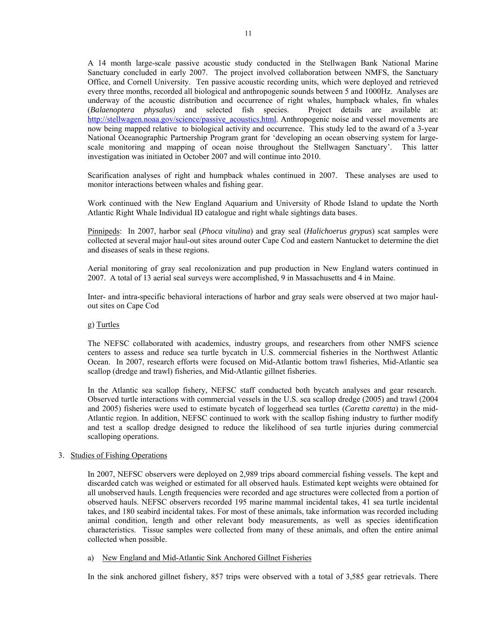A 14 month large-scale passive acoustic study conducted in the Stellwagen Bank National Marine Sanctuary concluded in early 2007. The project involved collaboration between NMFS, the Sanctuary Office, and Cornell University. Ten passive acoustic recording units, which were deployed and retrieved every three months, recorded all biological and anthropogenic sounds between 5 and 1000Hz. Analyses are underway of the acoustic distribution and occurrence of right whales, humpback whales, fin whales<br>(Balaenoptera physalus) and selected fish species. Project details are available at: (*Balaenoptera physalus*) and selected fish species. http://stellwagen.noaa.gov/science/passive\_acoustics.html. Anthropogenic noise and vessel movements are now being mapped relative to biological activity and occurrence. This study led to the award of a 3-year National Oceanographic Partnership Program grant for 'developing an ocean observing system for largescale monitoring and mapping of ocean noise throughout the Stellwagen Sanctuary'. This latter investigation was initiated in October 2007 and will continue into 2010.

Scarification analyses of right and humpback whales continued in 2007. These analyses are used to monitor interactions between whales and fishing gear.

Work continued with the New England Aquarium and University of Rhode Island to update the North Atlantic Right Whale Individual ID catalogue and right whale sightings data bases.

Pinnipeds: In 2007, harbor seal (*Phoca vitulina*) and gray seal (*Halichoerus grypus*) scat samples were collected at several major haul-out sites around outer Cape Cod and eastern Nantucket to determine the diet and diseases of seals in these regions.

Aerial monitoring of gray seal recolonization and pup production in New England waters continued in 2007. A total of 13 aerial seal surveys were accomplished, 9 in Massachusetts and 4 in Maine.

Inter- and intra-specific behavioral interactions of harbor and gray seals were observed at two major haulout sites on Cape Cod

## g) Turtles

The NEFSC collaborated with academics, industry groups, and researchers from other NMFS science centers to assess and reduce sea turtle bycatch in U.S. commercial fisheries in the Northwest Atlantic Ocean. In 2007, research efforts were focused on Mid-Atlantic bottom trawl fisheries, Mid-Atlantic sea scallop (dredge and trawl) fisheries, and Mid-Atlantic gillnet fisheries.

In the Atlantic sea scallop fishery, NEFSC staff conducted both bycatch analyses and gear research. Observed turtle interactions with commercial vessels in the U.S. sea scallop dredge (2005) and trawl (2004 and 2005) fisheries were used to estimate bycatch of loggerhead sea turtles (*Caretta caretta*) in the mid-Atlantic region. In addition, NEFSC continued to work with the scallop fishing industry to further modify and test a scallop dredge designed to reduce the likelihood of sea turtle injuries during commercial scalloping operations.

## 3. Studies of Fishing Operations

In 2007, NEFSC observers were deployed on 2,989 trips aboard commercial fishing vessels. The kept and discarded catch was weighed or estimated for all observed hauls. Estimated kept weights were obtained for all unobserved hauls. Length frequencies were recorded and age structures were collected from a portion of observed hauls. NEFSC observers recorded 195 marine mammal incidental takes, 41 sea turtle incidental takes, and 180 seabird incidental takes. For most of these animals, take information was recorded including animal condition, length and other relevant body measurements, as well as species identification characteristics. Tissue samples were collected from many of these animals, and often the entire animal collected when possible.

a) New England and Mid-Atlantic Sink Anchored Gillnet Fisheries

In the sink anchored gillnet fishery, 857 trips were observed with a total of 3,585 gear retrievals. There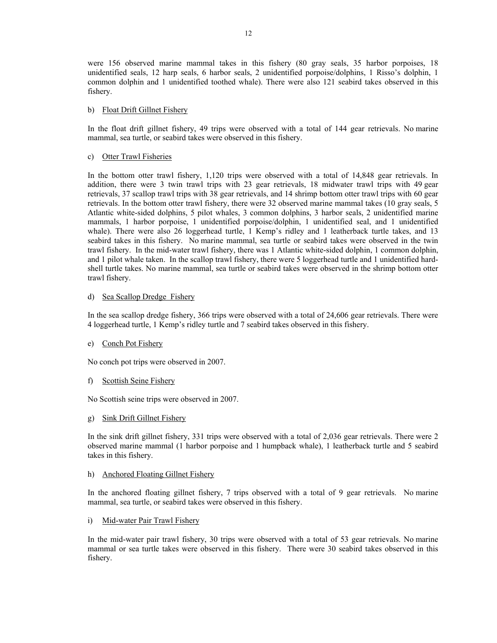were 156 observed marine mammal takes in this fishery (80 gray seals, 35 harbor porpoises, 18 unidentified seals, 12 harp seals, 6 harbor seals, 2 unidentified porpoise/dolphins, 1 Risso's dolphin, 1 common dolphin and 1 unidentified toothed whale). There were also 121 seabird takes observed in this fishery.

## b) Float Drift Gillnet Fishery

In the float drift gillnet fishery, 49 trips were observed with a total of 144 gear retrievals. No marine mammal, sea turtle, or seabird takes were observed in this fishery.

## c) Otter Trawl Fisheries

In the bottom otter trawl fishery, 1,120 trips were observed with a total of 14,848 gear retrievals. In addition, there were 3 twin trawl trips with 23 gear retrievals, 18 midwater trawl trips with 49 gear retrievals, 37 scallop trawl trips with 38 gear retrievals, and 14 shrimp bottom otter trawl trips with 60 gear retrievals. In the bottom otter trawl fishery, there were 32 observed marine mammal takes (10 gray seals, 5 Atlantic white-sided dolphins, 5 pilot whales, 3 common dolphins, 3 harbor seals, 2 unidentified marine mammals, 1 harbor porpoise, 1 unidentified porpoise/dolphin, 1 unidentified seal, and 1 unidentified whale). There were also 26 loggerhead turtle, 1 Kemp's ridley and 1 leatherback turtle takes, and 13 seabird takes in this fishery. No marine mammal, sea turtle or seabird takes were observed in the twin trawl fishery. In the mid-water trawl fishery, there was 1 Atlantic white-sided dolphin, 1 common dolphin, and 1 pilot whale taken. In the scallop trawl fishery, there were 5 loggerhead turtle and 1 unidentified hardshell turtle takes. No marine mammal, sea turtle or seabird takes were observed in the shrimp bottom otter trawl fishery.

## d) Sea Scallop Dredge Fishery

In the sea scallop dredge fishery, 366 trips were observed with a total of 24,606 gear retrievals. There were 4 loggerhead turtle, 1 Kemp's ridley turtle and 7 seabird takes observed in this fishery.

# e) Conch Pot Fishery

No conch pot trips were observed in 2007.

# f) Scottish Seine Fishery

No Scottish seine trips were observed in 2007.

# g) Sink Drift Gillnet Fishery

In the sink drift gillnet fishery, 331 trips were observed with a total of 2,036 gear retrievals. There were 2 observed marine mammal (1 harbor porpoise and 1 humpback whale), 1 leatherback turtle and 5 seabird takes in this fishery.

## h) Anchored Floating Gillnet Fishery

In the anchored floating gillnet fishery, 7 trips observed with a total of 9 gear retrievals. No marine mammal, sea turtle, or seabird takes were observed in this fishery.

## i) Mid-water Pair Trawl Fishery

In the mid-water pair trawl fishery, 30 trips were observed with a total of 53 gear retrievals. No marine mammal or sea turtle takes were observed in this fishery. There were 30 seabird takes observed in this fishery.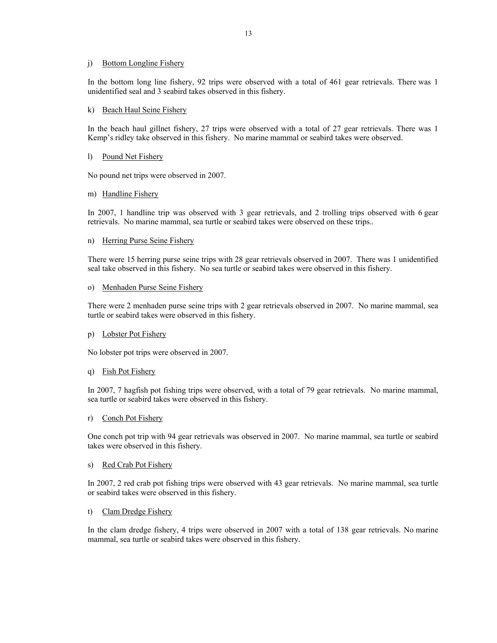#### j) Bottom Longline Fishery

In the bottom long line fishery, 92 trips were observed with a total of 461 gear retrievals. There was 1 unidentified seal and 3 seabird takes observed in this fishery.

#### k) Beach Haul Seine Fishery

In the beach haul gillnet fishery, 27 trips were observed with a total of 27 gear retrievals. There was 1 Kemp's ridley take observed in this fishery. No marine mammal or seabird takes were observed.

#### l) Pound Net Fishery

No pound net trips were observed in 2007.

#### m) Handline Fishery

In 2007, 1 handline trip was observed with 3 gear retrievals, and 2 trolling trips observed with 6 gear retrievals. No marine mammal, sea turtle or seabird takes were observed on these trips..

## n) Herring Purse Seine Fishery

There were 15 herring purse seine trips with 28 gear retrievals observed in 2007. There was 1 unidentified seal take observed in this fishery. No sea turtle or seabird takes were observed in this fishery.

#### o) Menhaden Purse Seine Fishery

There were 2 menhaden purse seine trips with 2 gear retrievals observed in 2007. No marine mammal, sea turtle or seabird takes were observed in this fishery.

## p) Lobster Pot Fishery

No lobster pot trips were observed in 2007.

## q) Fish Pot Fishery

In 2007, 7 hagfish pot fishing trips were observed, with a total of 79 gear retrievals. No marine mammal, sea turtle or seabird takes were observed in this fishery.

## r) Conch Pot Fishery

One conch pot trip with 94 gear retrievals was observed in 2007. No marine mammal, sea turtle or seabird takes were observed in this fishery.

#### s) Red Crab Pot Fishery

In 2007, 2 red crab pot fishing trips were observed with 43 gear retrievals. No marine mammal, sea turtle or seabird takes were observed in this fishery.

## t) Clam Dredge Fishery

In the clam dredge fishery, 4 trips were observed in 2007 with a total of 138 gear retrievals. No marine mammal, sea turtle or seabird takes were observed in this fishery.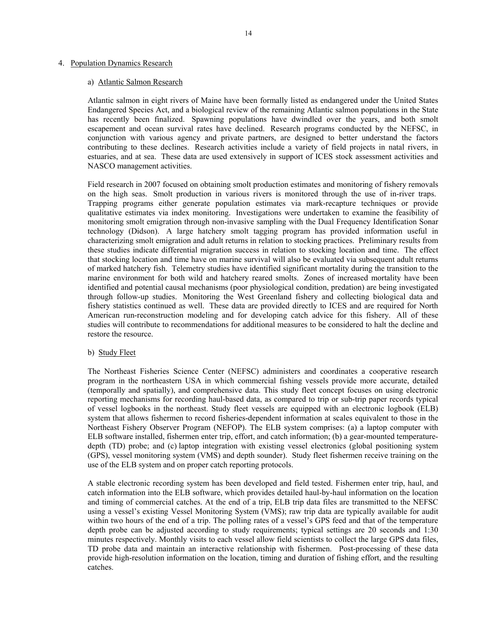#### 4. Population Dynamics Research

#### a) Atlantic Salmon Research

Atlantic salmon in eight rivers of Maine have been formally listed as endangered under the United States Endangered Species Act, and a biological review of the remaining Atlantic salmon populations in the State has recently been finalized. Spawning populations have dwindled over the years, and both smolt escapement and ocean survival rates have declined. Research programs conducted by the NEFSC, in conjunction with various agency and private partners, are designed to better understand the factors contributing to these declines. Research activities include a variety of field projects in natal rivers, in estuaries, and at sea. These data are used extensively in support of ICES stock assessment activities and NASCO management activities.

Field research in 2007 focused on obtaining smolt production estimates and monitoring of fishery removals on the high seas. Smolt production in various rivers is monitored through the use of in-river traps. Trapping programs either generate population estimates via mark-recapture techniques or provide qualitative estimates via index monitoring. Investigations were undertaken to examine the feasibility of monitoring smolt emigration through non-invasive sampling with the Dual Frequency Identification Sonar technology (Didson). A large hatchery smolt tagging program has provided information useful in characterizing smolt emigration and adult returns in relation to stocking practices. Preliminary results from these studies indicate differential migration success in relation to stocking location and time. The effect that stocking location and time have on marine survival will also be evaluated via subsequent adult returns of marked hatchery fish. Telemetry studies have identified significant mortality during the transition to the marine environment for both wild and hatchery reared smolts. Zones of increased mortality have been identified and potential causal mechanisms (poor physiological condition, predation) are being investigated through follow-up studies. Monitoring the West Greenland fishery and collecting biological data and fishery statistics continued as well. These data are provided directly to ICES and are required for North American run-reconstruction modeling and for developing catch advice for this fishery. All of these studies will contribute to recommendations for additional measures to be considered to halt the decline and restore the resource.

## b) Study Fleet

The Northeast Fisheries Science Center (NEFSC) administers and coordinates a cooperative research program in the northeastern USA in which commercial fishing vessels provide more accurate, detailed (temporally and spatially), and comprehensive data. This study fleet concept focuses on using electronic reporting mechanisms for recording haul-based data, as compared to trip or sub-trip paper records typical of vessel logbooks in the northeast. Study fleet vessels are equipped with an electronic logbook (ELB) system that allows fishermen to record fisheries-dependent information at scales equivalent to those in the Northeast Fishery Observer Program (NEFOP). The ELB system comprises: (a) a laptop computer with ELB software installed, fishermen enter trip, effort, and catch information; (b) a gear-mounted temperaturedepth (TD) probe; and (c) laptop integration with existing vessel electronics (global positioning system (GPS), vessel monitoring system (VMS) and depth sounder). Study fleet fishermen receive training on the use of the ELB system and on proper catch reporting protocols.

A stable electronic recording system has been developed and field tested. Fishermen enter trip, haul, and catch information into the ELB software, which provides detailed haul-by-haul information on the location and timing of commercial catches. At the end of a trip, ELB trip data files are transmitted to the NEFSC using a vessel's existing Vessel Monitoring System (VMS); raw trip data are typically available for audit within two hours of the end of a trip. The polling rates of a vessel's GPS feed and that of the temperature depth probe can be adjusted according to study requirements; typical settings are 20 seconds and 1:30 minutes respectively. Monthly visits to each vessel allow field scientists to collect the large GPS data files, TD probe data and maintain an interactive relationship with fishermen. Post-processing of these data provide high-resolution information on the location, timing and duration of fishing effort, and the resulting catches.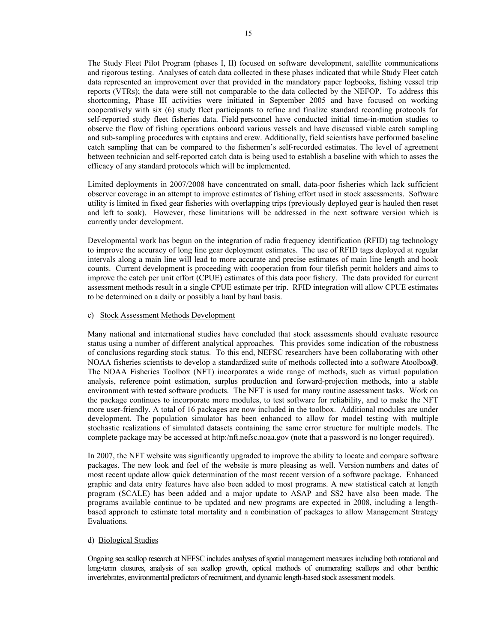The Study Fleet Pilot Program (phases I, II) focused on software development, satellite communications and rigorous testing. Analyses of catch data collected in these phases indicated that while Study Fleet catch data represented an improvement over that provided in the mandatory paper logbooks, fishing vessel trip reports (VTRs); the data were still not comparable to the data collected by the NEFOP. To address this shortcoming, Phase III activities were initiated in September 2005 and have focused on working cooperatively with six (6) study fleet participants to refine and finalize standard recording protocols for self-reported study fleet fisheries data. Field personnel have conducted initial time-in-motion studies to observe the flow of fishing operations onboard various vessels and have discussed viable catch sampling and sub-sampling procedures with captains and crew. Additionally, field scientists have performed baseline catch sampling that can be compared to the fishermen's self-recorded estimates. The level of agreement between technician and self-reported catch data is being used to establish a baseline with which to asses the efficacy of any standard protocols which will be implemented.

Limited deployments in 2007/2008 have concentrated on small, data-poor fisheries which lack sufficient observer coverage in an attempt to improve estimates of fishing effort used in stock assessments. Software utility is limited in fixed gear fisheries with overlapping trips (previously deployed gear is hauled then reset and left to soak). However, these limitations will be addressed in the next software version which is currently under development.

Developmental work has begun on the integration of radio frequency identification (RFID) tag technology to improve the accuracy of long line gear deployment estimates. The use of RFID tags deployed at regular intervals along a main line will lead to more accurate and precise estimates of main line length and hook counts. Current development is proceeding with cooperation from four tilefish permit holders and aims to improve the catch per unit effort (CPUE) estimates of this data poor fishery. The data provided for current assessment methods result in a single CPUE estimate per trip. RFID integration will allow CPUE estimates to be determined on a daily or possibly a haul by haul basis.

## c) Stock Assessment Methods Development

Many national and international studies have concluded that stock assessments should evaluate resource status using a number of different analytical approaches. This provides some indication of the robustness of conclusions regarding stock status. To this end, NEFSC researchers have been collaborating with other NOAA fisheries scientists to develop a standardized suite of methods collected into a software Atoolbox@. The NOAA Fisheries Toolbox (NFT) incorporates a wide range of methods, such as virtual population analysis, reference point estimation, surplus production and forward-projection methods, into a stable environment with tested software products. The NFT is used for many routine assessment tasks. Work on the package continues to incorporate more modules, to test software for reliability, and to make the NFT more user-friendly. A total of 16 packages are now included in the toolbox. Additional modules are under development. The population simulator has been enhanced to allow for model testing with multiple stochastic realizations of simulated datasets containing the same error structure for multiple models. The complete package may be accessed at http:/nft.nefsc.noaa.gov (note that a password is no longer required).

In 2007, the NFT website was significantly upgraded to improve the ability to locate and compare software packages. The new look and feel of the website is more pleasing as well. Version numbers and dates of most recent update allow quick determination of the most recent version of a software package. Enhanced graphic and data entry features have also been added to most programs. A new statistical catch at length program (SCALE) has been added and a major update to ASAP and SS2 have also been made. The programs available continue to be updated and new programs are expected in 2008, including a lengthbased approach to estimate total mortality and a combination of packages to allow Management Strategy Evaluations.

## d) Biological Studies

Ongoing sea scallop research at NEFSC includes analyses of spatial management measures including both rotational and long-term closures, analysis of sea scallop growth, optical methods of enumerating scallops and other benthic invertebrates, environmental predictors of recruitment, and dynamic length-based stock assessment models.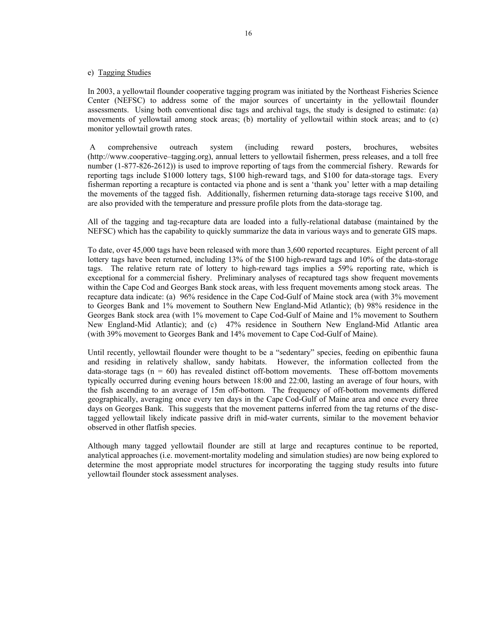#### e) Tagging Studies

In 2003, a yellowtail flounder cooperative tagging program was initiated by the Northeast Fisheries Science Center (NEFSC) to address some of the major sources of uncertainty in the yellowtail flounder assessments. Using both conventional disc tags and archival tags, the study is designed to estimate: (a) movements of yellowtail among stock areas; (b) mortality of yellowtail within stock areas; and to (c) monitor yellowtail growth rates.

 A comprehensive outreach system (including reward posters, brochures, websites (http://www.cooperative–tagging.org), annual letters to yellowtail fishermen, press releases, and a toll free number (1-877-826-2612)) is used to improve reporting of tags from the commercial fishery. Rewards for reporting tags include \$1000 lottery tags, \$100 high-reward tags, and \$100 for data-storage tags. Every fisherman reporting a recapture is contacted via phone and is sent a 'thank you' letter with a map detailing the movements of the tagged fish. Additionally, fishermen returning data-storage tags receive \$100, and are also provided with the temperature and pressure profile plots from the data-storage tag.

All of the tagging and tag-recapture data are loaded into a fully-relational database (maintained by the NEFSC) which has the capability to quickly summarize the data in various ways and to generate GIS maps.

To date, over 45,000 tags have been released with more than 3,600 reported recaptures. Eight percent of all lottery tags have been returned, including 13% of the \$100 high-reward tags and 10% of the data-storage tags. The relative return rate of lottery to high-reward tags implies a 59% reporting rate, which is exceptional for a commercial fishery. Preliminary analyses of recaptured tags show frequent movements within the Cape Cod and Georges Bank stock areas, with less frequent movements among stock areas. The recapture data indicate: (a) 96% residence in the Cape Cod-Gulf of Maine stock area (with 3% movement to Georges Bank and 1% movement to Southern New England-Mid Atlantic); (b) 98% residence in the Georges Bank stock area (with 1% movement to Cape Cod-Gulf of Maine and 1% movement to Southern New England-Mid Atlantic); and (c) 47% residence in Southern New England-Mid Atlantic area (with 39% movement to Georges Bank and 14% movement to Cape Cod-Gulf of Maine).

Until recently, yellowtail flounder were thought to be a "sedentary" species, feeding on epibenthic fauna and residing in relatively shallow, sandy habitats. However, the information collected from the data-storage tags  $(n = 60)$  has revealed distinct off-bottom movements. These off-bottom movements typically occurred during evening hours between 18:00 and 22:00, lasting an average of four hours, with the fish ascending to an average of 15m off-bottom. The frequency of off-bottom movements differed geographically, averaging once every ten days in the Cape Cod-Gulf of Maine area and once every three days on Georges Bank. This suggests that the movement patterns inferred from the tag returns of the disctagged yellowtail likely indicate passive drift in mid-water currents, similar to the movement behavior observed in other flatfish species.

Although many tagged yellowtail flounder are still at large and recaptures continue to be reported, analytical approaches (i.e. movement-mortality modeling and simulation studies) are now being explored to determine the most appropriate model structures for incorporating the tagging study results into future yellowtail flounder stock assessment analyses.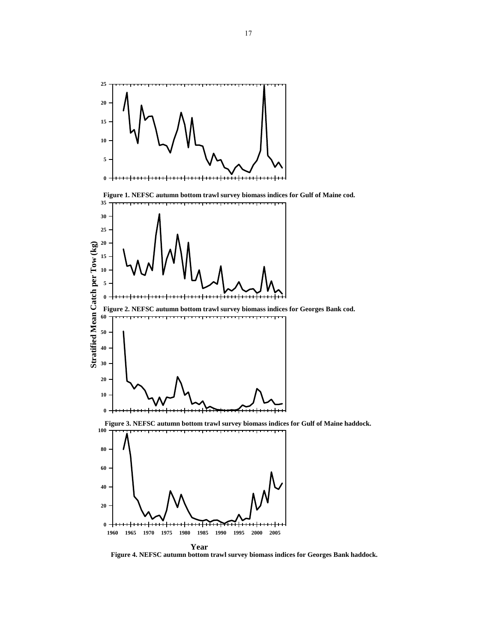

**Figure 4. NEFSC autumn bottom trawl survey biomass indices for Georges Bank haddock.**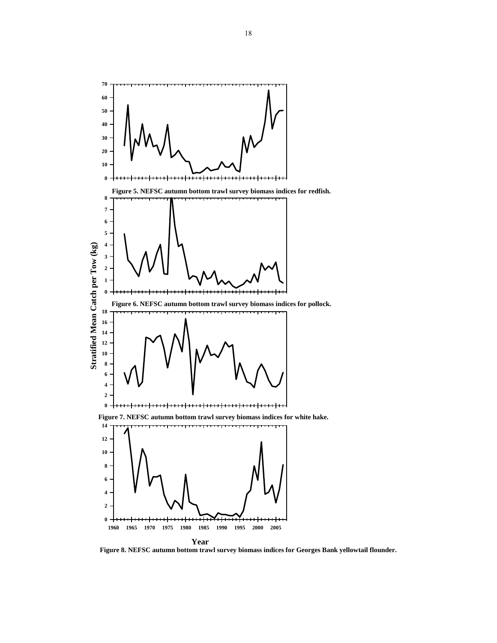

**Figure 8. NEFSC autumn bottom trawl survey biomass indices for Georges Bank yellowtail flounder.**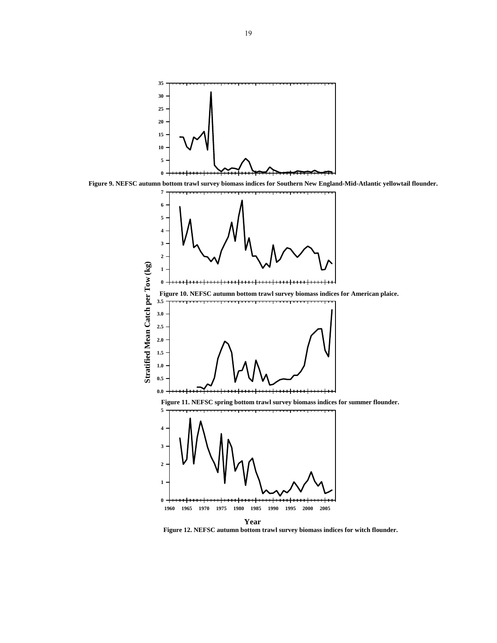





**Figure 12. NEFSC autumn bottom trawl survey biomass indices for witch flounder.**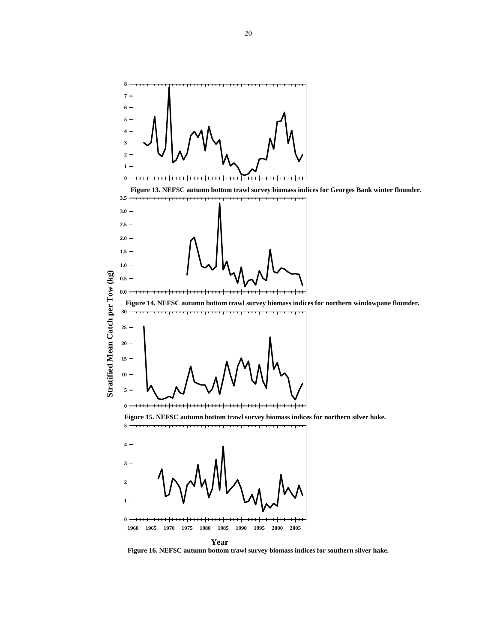

**Figure 16. NEFSC autumn bottom trawl survey biomass indices for southern silver hake.**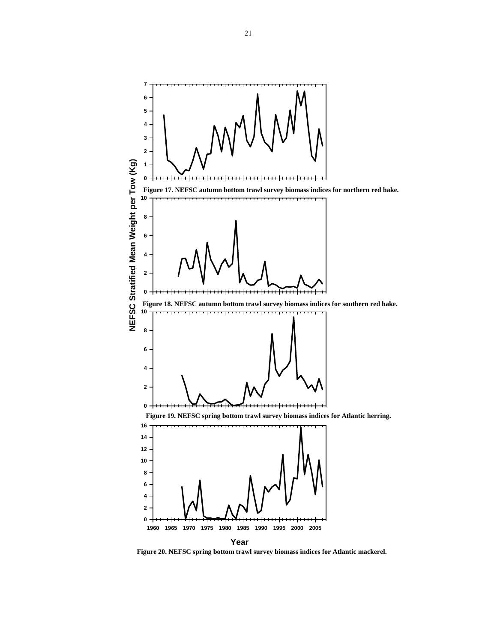

**Figure 20. NEFSC spring bottom trawl survey biomass indices for Atlantic mackerel.**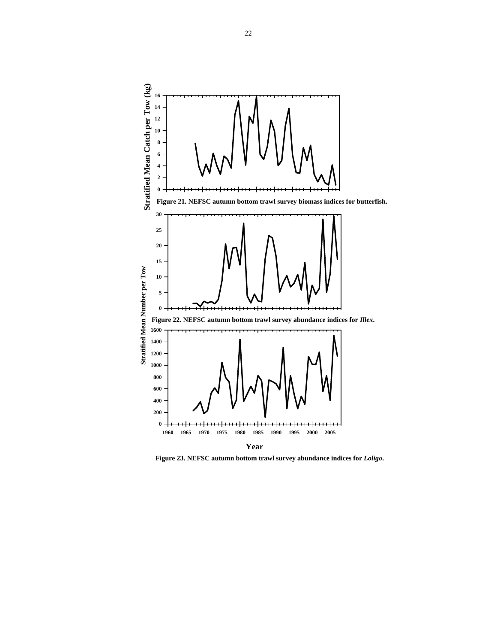

**Figure 23. NEFSC autumn bottom trawl survey abundance indices for** *Loligo***.**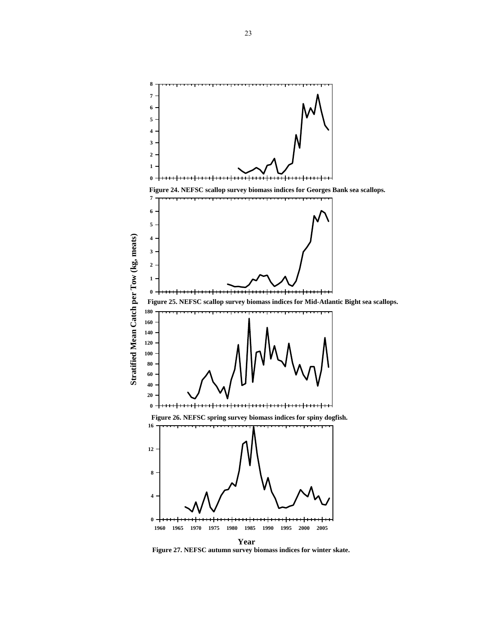

**Figure 27. NEFSC autumn survey biomass indices for winter skate.**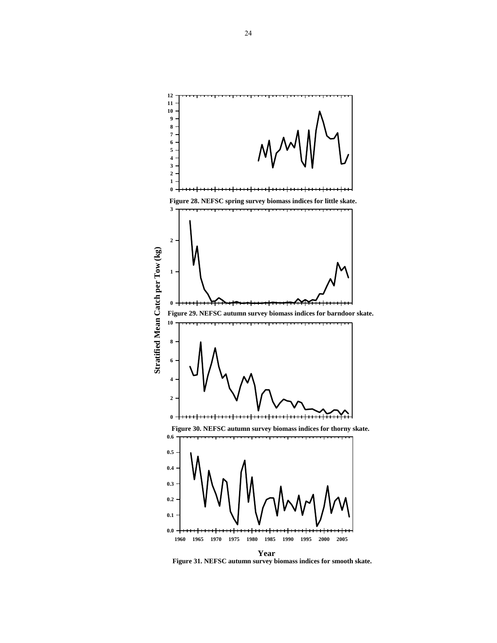

**Figure 31. NEFSC autumn survey biomass indices for smooth skate.**